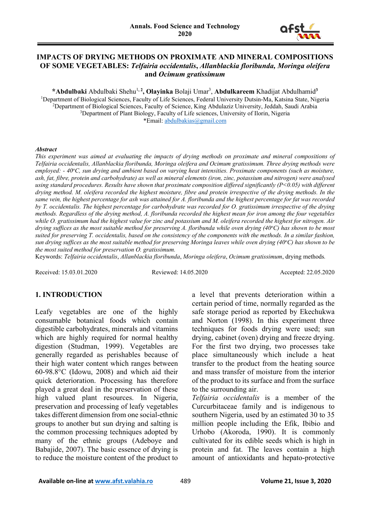

#### **IMPACTS OF DRYING METHODS ON PROXIMATE AND MINERAL COMPOSITIONS OF SOME VEGETABLES:** *Telfairia occidentalis***,** *Allanblackia floribunda, Moringa oleifera*  **and** *Ocimum gratissimum*

\*Abdulbaki Abdulbaki Shehu<sup>1, 2</sup>, Olayinka Bolaji Umar<sup>3</sup>, Abdulkareem Khadijat Abdulhamid<sup>3</sup> <sup>1</sup>Department of Biological Sciences, Faculty of Life Sciences, Federal University Dutsin-Ma, Katsina State, Nigeria 2 Department of Biological Sciences, Faculty of Science, King Abdulaziz University, Jeddah, Saudi Arabia <sup>3</sup>Department of Plant Biology, Faculty of Life sciences, University of Ilorin, Nigeria \*Email: [abdulbakias@gmail.com](mailto:abdulbakias@gmail.com)

#### *Abstract*

*This experiment was aimed at evaluating the impacts of drying methods on proximate and mineral compositions of Telfairia occidentalis, Allanblackia floribunda, Moringa oleifera and Ocimum gratissimum. Three drying methods were*  employed: - 40°C, sun drying and ambient based on varying heat intensities. Proximate components (such as moisture, *ash, fat, fibre, protein and carbohydrate) as well as mineral elements (iron, zinc, potassium and nitrogen) were analysed using standard procedures. Results have shown that proximate composition differed significantly (P<0.05) with different drying method. M. oleifera recorded the highest moisture, fibre and protein irrespective of the drying methods. In the same vein, the highest percentage for ash was attained for A. floribunda and the highest percentage for fat was recorded by T. occidentalis. The highest percentage for carbohydrate was recorded for O. gratissimum irrespective of the drying methods. Regardless of the drying method, A. floribunda recorded the highest mean for iron among the four vegetables while O. gratissimum had the highest value for zinc and potassium and M. oleifera recorded the highest for nitrogen. Air*  drying suffices as the most suitable method for preserving A. floribunda while oven drying (40°C) has shown to be most *suited for preserving T. occidentalis, based on the consistency of the components with the methods. In a similar fashion,*  sun drying suffices as the most suitable method for preserving Moringa leaves while oven drying (40°C) has shown to be *the most suited method for preservation O. gratissimum.*

Keywords: *Telfairia occidentalis*, *Allanblackia floribunda*, *Moringa oleifera*, *Ocimum gratissimum*, drying methods*.*

Received: 15.03.01.2020 Reviewed: 14.05.2020 Accepted: 22.05.2020

#### **1. INTRODUCTION**

Leafy vegetables are one of the highly consumable botanical foods which contain digestible carbohydrates, minerals and vitamins which are highly required for normal healthy digestion (Studman, 1999). Vegetables are generally regarded as perishables because of their high water content which ranges between 60-98.8°C (Idowu, 2008) and which aid their quick deterioration. Processing has therefore played a great deal in the preservation of these high valued plant resources. In Nigeria, preservation and processing of leafy vegetables takes different dimension from one social-ethnic groups to another but sun drying and salting is the common processing techniques adopted by many of the ethnic groups (Adeboye and Babajide, 2007). The basic essence of drying is to reduce the moisture content of the product to

a level that prevents deterioration within a certain period of time, normally regarded as the safe storage period as reported by Ekechukwa and Norton (1998). In this experiment three techniques for foods drying were used; sun drying, cabinet (oven) drying and freeze drying. For the first two drying, two processes take place simultaneously which include a heat transfer to the product from the heating source and mass transfer of moisture from the interior of the product to its surface and from the surface to the surrounding air.

*Telfairia occidentalis* is a member of the Curcurbitaceae family and is indigenous to southern Nigeria, used by an estimated 30 to 35 million people including the Efik, Ibibio and Urhobo (Akoroda, 1990). It is commonly cultivated for its edible seeds which is high in protein and fat. The leaves contain a high amount of antioxidants and hepato-protective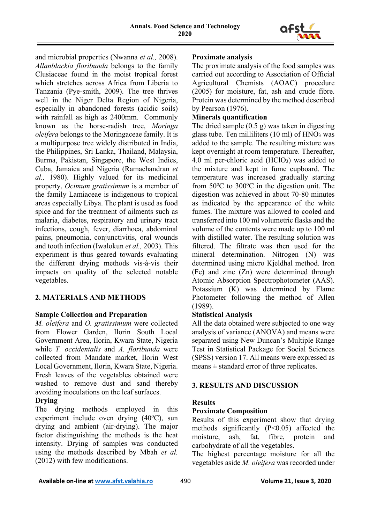

and microbial properties (Nwanna *et al.,* 2008). *Allanblackia floribunda* belongs to the family Clusiaceae found in the moist tropical forest which stretches across Africa from Liberia to Tanzania (Pye-smith, 2009). The tree thrives well in the Niger Delta Region of Nigeria, especially in abandoned forests (acidic soils) with rainfall as high as 2400mm. Commonly known as the horse-radish tree, *Moringa oleifera* belongs to the Moringaceae family. It is a multipurpose tree widely distributed in India, the Philippines, Sri Lanka, Thailand, Malaysia, Burma, Pakistan, Singapore, the West Indies, Cuba, Jamaica and Nigeria (Ramachandran *et al.,* 1980). Highly valued for its medicinal property, *Ocimum gratissimum* is a member of the family Lamiaceae is indigenous to tropical areas especially Libya. The plant is used as food spice and for the treatment of ailments such as malaria, diabetes, respiratory and urinary tract infections, cough, fever, diarrhoea, abdominal pains, pneumonia, conjunctivitis, oral wounds and tooth infection (Iwalokun *et al.,* 2003). This experiment is thus geared towards evaluating the different drying methods vis-à-vis their impacts on quality of the selected notable vegetables.

# **2. MATERIALS AND METHODS**

## **Sample Collection and Preparation**

*M. oleifera* and *O. gratissimum* were collected from Flower Garden, Ilorin South Local Government Area, Ilorin, Kwara State, Nigeria while *T. occidentalis* and *A. floribunda* were collected from Mandate market, Ilorin West Local Government, Ilorin, Kwara State, Nigeria. Fresh leaves of the vegetables obtained were washed to remove dust and sand thereby avoiding inoculations on the leaf surfaces.

# **Drying**

The drying methods employed in this experiment include oven drying (40°C), sun drying and ambient (air-drying). The major factor distinguishing the methods is the heat intensity. Drying of samples was conducted using the methods described by Mbah *et al.* (2012) with few modifications.

#### **Proximate analysis**

The proximate analysis of the food samples was carried out according to Association of Official Agricultural Chemists (AOAC) procedure (2005) for moisture, fat, ash and crude fibre. Protein was determined by the method described by Pearson (1976).

#### **Minerals quantification**

The dried sample  $(0.5 \text{ g})$  was taken in digesting glass tube. Ten milliliters  $(10 \text{ ml})$  of  $HNO<sub>3</sub>$  was added to the sample. The resulting mixture was kept overnight at room temperature. Thereafter, 4.0 ml per-chloric acid  $(HClO<sub>3</sub>)$  was added to the mixture and kept in fume cupboard. The temperature was increased gradually starting from 50°C to 300°C in the digestion unit. The digestion was achieved in about 70-80 minutes as indicated by the appearance of the white fumes. The mixture was allowed to cooled and transferred into 100 ml volumetric flasks and the volume of the contents were made up to 100 ml with distilled water. The resulting solution was filtered. The filtrate was then used for the mineral determination. Nitrogen (N) was determined using micro Kjeldhal method. Iron (Fe) and zinc (Zn) were determined through Atomic Absorption Spectrophotometer (AAS). Potassium (K) was determined by Flame Photometer following the method of Allen (1989).

## **Statistical Analysis**

All the data obtained were subjected to one way analysis of variance (ANOVA) and means were separated using New Duncan's Multiple Range Test in Statistical Package for Social Sciences (SPSS) version 17. All means were expressed as means  $\pm$  standard error of three replicates.

## **3. RESULTS AND DISCUSSION**

## **Results**

## **Proximate Composition**

Results of this experiment show that drying methods significantly (P<0.05) affected the moisture, ash, fat, fibre, protein and carbohydrate of all the vegetables.

The highest percentage moisture for all the vegetables aside *M. oleifera* was recorded under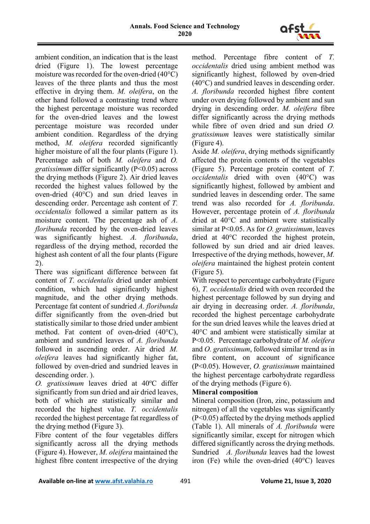

ambient condition, an indication that is the least dried (Figure 1). The lowest percentage moisture was recorded for the oven-dried (40°C) leaves of the three plants and thus the most effective in drying them. *M. oleifera*, on the other hand followed a contrasting trend where the highest percentage moisture was recorded for the oven-dried leaves and the lowest percentage moisture was recorded under ambient condition. Regardless of the drying method, *M. oleifera* recorded significantly higher moisture of all the four plants (Figure 1). Percentage ash of both *M. oleifera* and *O. gratissimum* differ significantly (P<0.05) across the drying methods (Figure 2). Air dried leaves recorded the highest values followed by the oven-dried (40°C) and sun dried leaves in descending order. Percentage ash content of *T. occidentalis* followed a similar pattern as its moisture content. The percentage ash of *A. floribunda* recorded by the oven-dried leaves was significantly highest. *A. floribunda*, regardless of the drying method, recorded the highest ash content of all the four plants (Figure 2).

There was significant difference between fat content of *T. occidentalis* dried under ambient condition, which had significantly highest magnitude, and the other drying methods. Percentage fat content of sundried *A. floribunda*  differ significantly from the oven-dried but statistically similar to those dried under ambient method. Fat content of oven-dried (40°C), ambient and sundried leaves of *A. floribunda*  followed in ascending order. Air dried *M. oleifera* leaves had significantly higher fat, followed by oven-dried and sundried leaves in descending order. ).

0. gratissimum leaves dried at 40°C differ significantly from sun dried and air dried leaves, both of which are statistically similar and recorded the highest value. *T. occidentalis*  recorded the highest percentage fat regardless of the drying method (Figure 3).

Fibre content of the four vegetables differs significantly across all the drying methods (Figure 4). However, *M. oleifera* maintained the highest fibre content irrespective of the drying method. Percentage fibre content of *T. occidentalis* dried using ambient method was significantly highest, followed by oven-dried (40°C) and sundried leaves in descending order. *A. floribunda* recorded highest fibre content under oven drying followed by ambient and sun drying in descending order. *M. oleifera* fibre differ significantly across the drying methods while fibre of oven dried and sun dried *O. gratissimum* leaves were statistically similar (Figure 4).

Aside *M. oleifera*, drying methods significantly affected the protein contents of the vegetables (Figure 5). Percentage protein content of *T. occidentalis* dried with oven (40°C) was significantly highest, followed by ambient and sundried leaves in descending order. The same trend was also recorded for *A. floribunda*. However, percentage protein of *A. floribunda* dried at 40°C and ambient were statistically similar at P<0.05. As for *O. gratissimum*, leaves dried at 40°C recorded the highest protein, followed by sun dried and air dried leaves. Irrespective of the drying methods, however, *M. oleifera* maintained the highest protein content (Figure 5).

With respect to percentage carbohydrate (Figure 6), *T. occidentalis* dried with oven recorded the highest percentage followed by sun drying and air drying in decreasing order. *A. floribunda*, recorded the highest percentage carbohydrate for the sun dried leaves while the leaves dried at 40°C and ambient were statistically similar at P<0.05. Percentage carbohydrate of *M. oleifera*  and *O. gratissimum*, followed similar trend as in fibre content, on account of significance (P<0.05). However, *O. gratissimum* maintained the highest percentage carbohydrate regardless of the drying methods (Figure 6).

# **Mineral composition**

Mineral composition (Iron, zinc, potassium and nitrogen) of all the vegetables was significantly (P<0.05) affected by the drying methods applied (Table 1). All minerals of *A. floribunda* were significantly similar, except for nitrogen which differed significantly across the drying methods. Sundried *A. floribunda* leaves had the lowest iron (Fe) while the oven-dried (40°C) leaves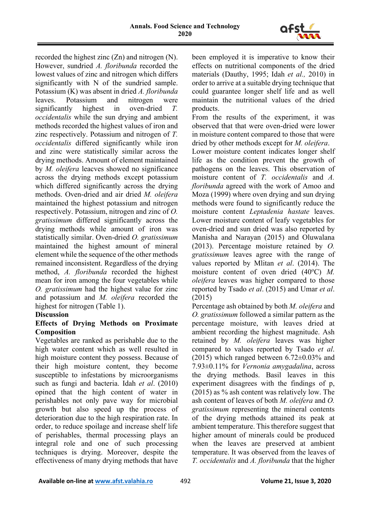

recorded the highest zinc (Zn) and nitrogen (N). However, sundried *A. floribunda* recorded the lowest values of zinc and nitrogen which differs significantly with N of the sundried sample. Potassium (K) was absent in dried *A. floribunda*  leaves. Potassium and nitrogen were significantly highest in oven-dried *T. occidentalis* while the sun drying and ambient methods recorded the highest values of iron and zinc respectively. Potassium and nitrogen of *T. occidentalis* differed significantly while iron and zinc were statistically similar across the drying methods. Amount of element maintained by *M. oleifera* leacves showed no significance across the drying methods except potassium which differed significantly across the drying methods. Oven-dried and air dried *M. oleifera*  maintained the highest potassium and nitrogen respectively. Potassium, nitrogen and zinc of *O. gratissimum* differed significantly across the drying methods while amount of iron was statistically similar. Oven-dried *O. gratissimum*  maintained the highest amount of mineral element while the sequence of the other methods remained inconsistent. Regardless of the drying method, *A. floribunda* recorded the highest mean for iron among the four vegetables while *O. gratissimum* had the highest value for zinc and potassium and *M. oleifera* recorded the highest for nitrogen (Table 1).

## **Discussion**

#### **Effects of Drying Methods on Proximate Composition**

Vegetables are ranked as perishable due to the high water content which as well resulted in high moisture content they possess. Because of their high moisture content, they become susceptible to infestations by microorganisms such as fungi and bacteria. Idah *et al*. (2010) opined that the high content of water in perishables not only pave way for microbial growth but also speed up the process of deterioration due to the high respiration rate. In order, to reduce spoilage and increase shelf life of perishables, thermal processing plays an integral role and one of such processing techniques is drying. Moreover, despite the effectiveness of many drying methods that have

been employed it is imperative to know their effects on nutritional components of the dried materials (Dauthy, 1995; Idah *et al.,* 2010) in order to arrive at a suitable drying technique that could guarantee longer shelf life and as well maintain the nutritional values of the dried products.

From the results of the experiment, it was observed that that were oven-dried were lower in moisture content compared to those that were dried by other methods except for *M. oleifera*.

Lower moisture content indicates longer shelf life as the condition prevent the growth of pathogens on the leaves. This observation of moisture content of *T. occidentalis* and *A. floribunda* agreed with the work of Amoo and Moza (1999) where oven drying and sun drying methods were found to significantly reduce the moisture content *Leptadenia hastate* leaves. Lower moisture content of leafy vegetables for oven-dried and sun dried was also reported by Manisha and Narayan (2015) and Oluwalana (2013). Percentage moisture retained by *O. gratissimum* leaves agree with the range of values reported by Mlitan *et al*. (2014). The moisture content of oven dried (40°C) M. *oleifera* leaves was higher compared to those reported by Tsado *et al*. (2015) and Umar *et al*. (2015)

Percentage ash obtained by both *M. oleifera* and *O. gratissimum* followed a similar pattern as the percentage moisture, with leaves dried at ambient recording the highest magnitude. Ash retained by *M. oleifera* leaves was higher compared to values reported by Tsado *et al*. (2015) which ranged between  $6.72\pm0.03\%$  and 7.93±0.11% for *Vernonia amygadalina*, across the drying methods. Basil leaves in this experiment disagrees with the findings of p, (2015) as % ash content was relatively low. The ash content of leaves of both *M. oleifera* and *O. gratissimum* representing the mineral contents of the drying methods attained its peak at ambient temperature. This therefore suggest that higher amount of minerals could be produced when the leaves are preserved at ambient temperature. It was observed from the leaves of *T. occidentalis* and *A. floribunda* that the higher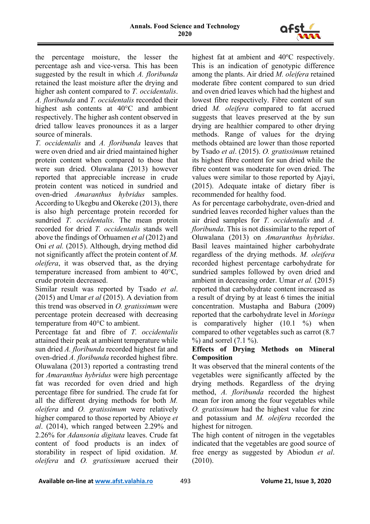

the percentage moisture, the lesser the percentage ash and vice-versa. This has been suggested by the result in which *A. floribunda*  retained the least moisture after the drying and higher ash content compared to *T. occidentalis*. *A. floribunda* and *T. occidentalis* recorded their highest ash contents at 40°C and ambient respectively. The higher ash content observed in dried tallow leaves pronounces it as a larger source of minerals.

*T. occidentalis* and *A. floribunda* leaves that were oven dried and air dried maintained higher protein content when compared to those that were sun dried. Oluwalana (2013) however reported that appreciable increase in crude protein content was noticed in sundried and oven-dried *Amaranthus hybridus* samples. According to Ukegbu and Okereke (2013), there is also high percentage protein recorded for sundried *T. occidentalis*. The mean protein recorded for dried *T. occidentalis* stands well above the findings of Orhuamen *et al* (2012) and Oni *et al.* (2015). Although, drying method did not significantly affect the protein content of *M. oleifera*, it was observed that, as the drying temperature increased from ambient to 40°C, crude protein decreased.

Similar result was reported by Tsado *et al*. (2015) and Umar *et al* (2015). A deviation from this trend was observed in *O. gratissimum* were percentage protein decreased with decreasing temperature from 40°C to ambient.

Percentage fat and fibre of *T. occidentalis*  attained their peak at ambient temperature while sun dried *A. floribunda* recorded highest fat and oven-dried *A. floribunda* recorded highest fibre. Oluwalana (2013) reported a contrasting trend for *Amaranthus hybridus* were high percentage fat was recorded for oven dried and high percentage fibre for sundried. The crude fat for all the different drying methods for both *M. oleifera* and *O. gratissimum* were relatively higher compared to those reported by Abioye *et al*. (2014), which ranged between 2.29% and 2.26% for *Adansonia digitata* leaves. Crude fat content of food products is an index of storability in respect of lipid oxidation. *M. oleifera* and *O. gratissimum* accrued their

highest fat at ambient and 40°C respectively. This is an indication of genotypic difference among the plants. Air dried *M. oleifera* retained moderate fibre content compared to sun dried and oven dried leaves which had the highest and lowest fibre respectively. Fibre content of sun dried *M. oleifera* compared to fat accrued suggests that leaves preserved at the by sun drying are healthier compared to other drying methods. Range of values for the drying methods obtained are lower than those reported by Tsado *et al*. (2015). *O. gratissimum* retained its highest fibre content for sun dried while the fibre content was moderate for oven dried. The values were similar to those reported by Ajayi, (2015). Adequate intake of dietary fiber is recommended for healthy food.

As for percentage carbohydrate, oven-dried and sundried leaves recorded higher values than the air dried samples for *T. occidentalis* and *A. floribunda*. This is not dissimilar to the report of Oluwalana (2013) on *Amaranthus hybridus*. Basil leaves maintained higher carbohydrate regardless of the drying methods. *M. oleifera*  recorded highest percentage carbohydrate for sundried samples followed by oven dried and ambient in decreasing order. Umar *et al.* (2015) reported that carbohydrate content increased as a result of drying by at least 6 times the initial concentration. Mustapha and Babura (2009) reported that the carbohydrate level in *Moringa*  is comparatively higher (10.1 %) when compared to other vegetables such as carrot (8.7  $%$ ) and sorrel  $(7.1\%)$ .

## **Effects of Drying Methods on Mineral Composition**

It was observed that the mineral contents of the vegetables were significantly affected by the drying methods. Regardless of the drying method, *A. floribunda* recorded the highest mean for iron among the four vegetables while *O. gratissimum* had the highest value for zinc and potassium and *M. oleifera* recorded the highest for nitrogen.

The high content of nitrogen in the vegetables indicated that the vegetables are good source of free energy as suggested by Abiodun *et al*. (2010).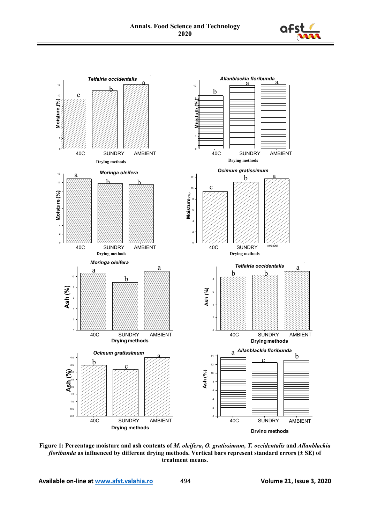



**Figure 1: Percentage moisture and ash contents of** *M. oleifera***,** *O. gratissimum, T. occidentalis* **and** *Allanblackia floribunda* **as influenced by different drying methods. Vertical bars represent standard errors (± SE) of treatment means.**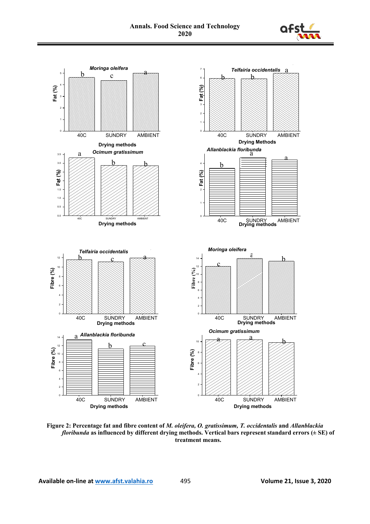



**Figure 2: Percentage fat and fibre content of** *M. oleifera, O. gratissimum, T. occidentalis* **and** *Allanblackia floribunda* **as influenced by different drying methods. Vertical bars represent standard errors (± SE) of treatment means.**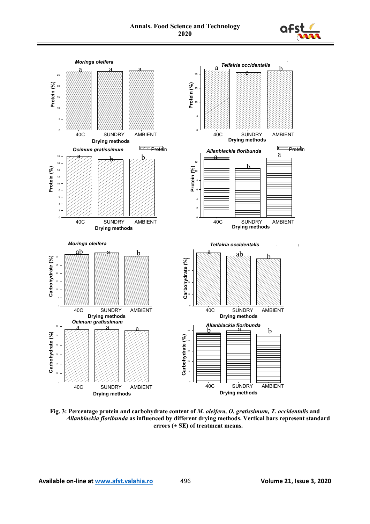



**Fig. 3: Percentage protein and carbohydrate content of** *M. oleifera, O. gratissimum, T. occidentalis* **and** *Allanblackia floribunda* **as influenced by different drying methods. Vertical bars represent standard errors (± SE) of treatment means.**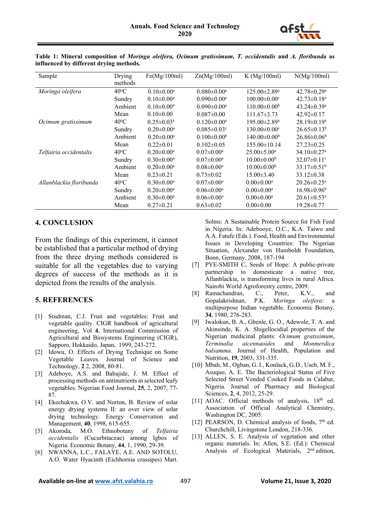

| Sample                  | Drying         | Fe(Mg/100ml)               | Zn(Mg/100ml)                  | K(Mg/100ml)                    | N(Mg/100ml)                   |
|-------------------------|----------------|----------------------------|-------------------------------|--------------------------------|-------------------------------|
|                         | methods        |                            |                               |                                |                               |
| Moringa oleifera        | $40^{\circ}$ C | $0.10 \pm 0.00^a$          | $0.080 \pm 0.00^a$            | $125.00 \pm 2.89^{\mathrm{a}}$ | $42.78 \pm 0.29$ <sup>a</sup> |
|                         | Sundry         | $0.10 \pm 0.00^{\text{a}}$ | $0.090 \pm 0.00^{\text{a}}$   | $100.00 \pm 0.00^{\circ}$      | $42.73 \pm 0.18^a$            |
|                         | Ambient        | $0.10 \pm 0.00^a$          | $0.090 \pm 0.00^{\text{a}}$   | $110.00 \pm 0.00^b$            | $43.24 \pm 0.39^{\mathrm{a}}$ |
|                         | Mean           | $0.10 \pm 0.00$            | $0.087 \pm 0.00$              | $111.67 \pm 3.73$              | $42.92 \pm 0.17$              |
| Ocimum gratissimum      | $40^{\circ}$ C | $0.25 \pm 0.03^{\text{a}}$ | $0.120 \pm 0.00^{\text{a}}$   | $195.00 \pm 2.89$ <sup>a</sup> | 28.19±0.19 <sup>a</sup>       |
|                         | Sundry         | $0.20 \pm 0.00^{\text{a}}$ | $0.085 \pm 0.03$ <sup>c</sup> | $130.00 \pm 0.00$ <sup>c</sup> | $26.65 \pm 0.13^b$            |
|                         | Ambient        | $0.20 \pm 0.00^{\text{a}}$ | $0.100 \pm 0.00^b$            | $140.00 \pm 0.00^b$            | $26.86 \pm 0.06^b$            |
|                         | Mean           | $0.22 \pm 0.01$            | $0.102 \pm 0.05$              | 155.00±10.14                   | $27.23 \pm 0.25$              |
| Telfairia occidentalis  | $40^{\circ}$ C | $0.20 \pm 0.00^{\text{a}}$ | $0.07 \pm 0.00^{\text{a}}$    | $25.00 \pm 5.00^{\mathrm{a}}$  | $34.10 \pm 0.27$ <sup>a</sup> |
|                         | Sundry         | $0.30 \pm 0.00^{\text{a}}$ | $0.07 \pm 0.00^a$             | $10.00 \pm 0.00^b$             | 32.07 $\pm$ 0.11 $\rm{^c}$    |
|                         | Ambient        | $0.20 \pm 0.00^{\text{a}}$ | $0.08 \pm 0.00^{\text{a}}$    | $10.00 \pm 0.00^b$             | $33.17 \pm 0.51^{\rm b}$      |
|                         | Mean           | $0.23 \pm 0.21$            | $0.73 \pm 0.02$               | $15.00 \pm 3.40$               | $33.12 \pm 0.38$              |
| Allanblackia floribunda | $40^{\circ}$ C | $0.30 \pm 0.00^{\text{a}}$ | $0.07 \pm 0.00^{\text{a}}$    | $0.00 \pm 0.00^a$              | $20.26 \pm 0.25$ <sup>a</sup> |
|                         | Sundry         | $0.20 \pm 0.00^{\text{a}}$ | $0.06 \pm 0.00^{\text{a}}$    | $0.00 \pm 0.00^a$              | $16.98 \pm 0.96^{\circ}$      |
|                         | Ambient        | $0.30 \pm 0.00^{\text{a}}$ | $0.06 \pm 0.00^{\text{a}}$    | $0.00 \pm 0.00^a$              | $20.61 \pm 0.53$ <sup>a</sup> |
|                         | Mean           | $0.27 \pm 0.21$            | $0.63 \pm 0.02$               | $0.00 \pm 0.00$                | $19.28 \pm 0.77$              |

**Table 1: Mineral composition of** *Moringa oleifera, Ocimum gratissimum, T. occidentalis* **and** *A. floribunda* **as influenced by different drying methods.**

#### **4. CONCLUSION**

From the findings of this experiment, it cannot be established that a particular method of drying from the three drying methods considered is suitable for all the vegetables due to varying degrees of success of the methods as it is depicted from the results of the analysis.

#### **5. REFERENCES**

- [1] Studman, C.J. Fruit and vegetables: Fruit and vegetable quality. CIGR handbook of agricultural engineering, Vol **4**, International Commission of Agricultural and Biosystems Engineering (CIGR), Sapporo, Hokkaido, Japan, 1999, 243-272.
- [2] Idowu, O. Effects of Drying Technique on Some Vegetable Leaves. Journal of Science and Technology, **2** 2, 2008, 80-81.
- [3] Adeboye, A.S. and Babajide, J. M. Effect of processing methods on antinutrients in selected leafy vegetables. Nigerian Food Journal, **25**, 2, 2007, 77- 87.
- [4] Ekechukwa, O.V. and Norton, B. Review of solar energy drying systems II: an over view of solar drying technology. Energy Conservation and Management, **40**, 1998, 615-655.
- [5] Akoroda, M.O. Ethnobotany of *Telfairia occidentalis* (Cucurbitaceae) among Igbos of Nigeria. Economic Botany, **44**, 1, 1990, 29-39.
- [6] NWANNA, L.C., FALAYE, A.E. AND SOTOLU, A.O. Water Hyacinth (Eichhornia crassipes) Mart.

Solms: A Sustainable Protein Source for Fish Feed in Nigeria. In: Adebooye, O.C., K.A. Taiwo and A.A. Fatufe (Eds.). Food, Health and Environmental Issues in Developing Countries: The Nigerian Situation, Alexander von Humboldt Foundation, Bonn, Germany. 2008, 187-194

- [7] PYE-SMITH C**.** Seeds of Hope: A public-private partnership to domesticate a native tree, Allanblackia, is transforming lives in rural Africa. Nairobi World Agroforestry centre, 2009.
- [8] Ramachandran, C., Peter, K.V., and Gopalakrishnan, P.K. *Moringa oleifera*: a multipurpose Indian vegetable. Economic Botany, **34**, 1980, 276-283.
- [9] Iwalokun, B. A., Ghenle, G. O., Adewole, T. A. and Akinsinde, K. A. Shigellocidial properties of the Nigerian medicinal plants: *Ocimum gratssimum*, *Terminalia aicennaoides* and *Monmerdica balsamma*. Journal of Health, Population and Nutrition, **19**, 2003, 331-335.
- [10] Mbah, M., Ogban, G. I., Konlack, G.D., Useh, M. F., Asuquo, A. E. The Bacteriological Status of Five Selected Street Vended Cooked Foods in Calabar, Nigeria. Journal of Pharmacy and Biological Sciences, **2**, 4, 2012, 25-29.
- [11] AOAC. Official methods of analysis,  $18<sup>th</sup>$  ed. Association of Official Analytical Chemistry, Washington DC, 2005.
- [12] PEARSON, D. Chemical analysis of foods,  $7<sup>th</sup>$  ed. Churchchill, Livingstone London, 218-336.
- [13] ALLEN, S. E. Analysis of vegetation and other organic materials. In: Allen, S.E. (Ed.): Chemical Analysis of Ecological Materials, 2nd edition,